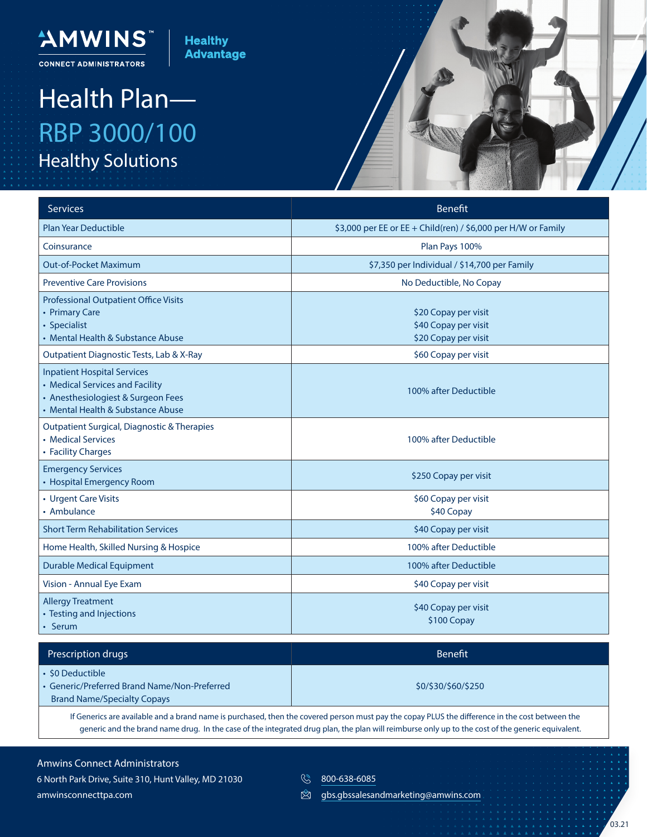

## Health Plan— RBP 3000/100 Healthy Solutions

"AMWINS

**CONNECT ADMINISTRATORS** 



| Services                                                                                                                                         | <b>Benefit</b>                                                       |
|--------------------------------------------------------------------------------------------------------------------------------------------------|----------------------------------------------------------------------|
| <b>Plan Year Deductible</b>                                                                                                                      | \$3,000 per EE or EE + Child(ren) / \$6,000 per H/W or Family        |
| Coinsurance                                                                                                                                      | Plan Pays 100%                                                       |
| <b>Out-of-Pocket Maximum</b>                                                                                                                     | \$7,350 per Individual / \$14,700 per Family                         |
| <b>Preventive Care Provisions</b>                                                                                                                | No Deductible, No Copay                                              |
| <b>Professional Outpatient Office Visits</b><br>• Primary Care<br>• Specialist<br>• Mental Health & Substance Abuse                              | \$20 Copay per visit<br>\$40 Copay per visit<br>\$20 Copay per visit |
| Outpatient Diagnostic Tests, Lab & X-Ray                                                                                                         | \$60 Copay per visit                                                 |
| <b>Inpatient Hospital Services</b><br>• Medical Services and Facility<br>• Anesthesiologiest & Surgeon Fees<br>• Mental Health & Substance Abuse | 100% after Deductible                                                |
| Outpatient Surgical, Diagnostic & Therapies<br>• Medical Services<br>• Facility Charges                                                          | 100% after Deductible                                                |
| <b>Emergency Services</b><br>• Hospital Emergency Room                                                                                           | \$250 Copay per visit                                                |
| • Urgent Care Visits<br>• Ambulance                                                                                                              | \$60 Copay per visit<br>\$40 Copay                                   |
| <b>Short Term Rehabilitation Services</b>                                                                                                        | \$40 Copay per visit                                                 |
| Home Health, Skilled Nursing & Hospice                                                                                                           | 100% after Deductible                                                |
| <b>Durable Medical Equipment</b>                                                                                                                 | 100% after Deductible                                                |
| Vision - Annual Eye Exam                                                                                                                         | \$40 Copay per visit                                                 |
| <b>Allergy Treatment</b><br>• Testing and Injections<br>• Serum                                                                                  | \$40 Copay per visit<br>\$100 Copay                                  |

| Prescription drugs                                                                                   | <b>Benefit</b>      |
|------------------------------------------------------------------------------------------------------|---------------------|
| • \$0 Deductible<br>Generic/Preferred Brand Name/Non-Preferred<br><b>Brand Name/Specialty Copays</b> | \$0/\$30/\$60/\$250 |

If Generics are available and a brand name is purchased, then the covered person must pay the copay PLUS the difference in the cost between the generic and the brand name drug. In the case of the integrated drug plan, the plan will reimburse only up to the cost of the generic equivalent.

Amwins Connect Administrators 6 North Park Drive, Suite 310, Hunt Valley, MD 21030 amwinsconnecttpa.com

**800-638-6085** 

 $\mathbb{Z}$ gbs.gbssalesandmarketing@amwins.com